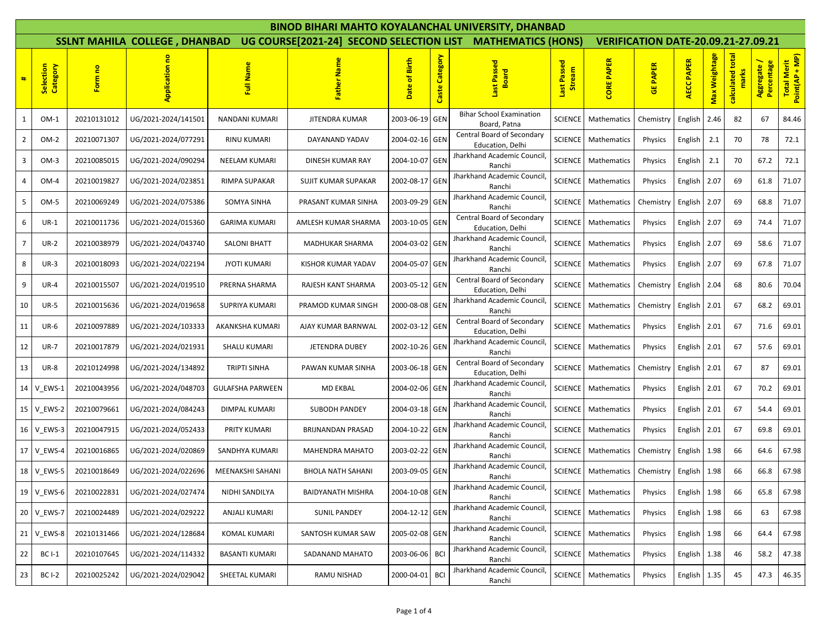| <b>BINOD BIHARI MAHTO KOYALANCHAL UNIVERSITY, DHANBAD</b> |                       |             |                                      |                         |                          |                                                             |                |                                                       |                       |                            |                 |                             |               |                  |                         |                               |
|-----------------------------------------------------------|-----------------------|-------------|--------------------------------------|-------------------------|--------------------------|-------------------------------------------------------------|----------------|-------------------------------------------------------|-----------------------|----------------------------|-----------------|-----------------------------|---------------|------------------|-------------------------|-------------------------------|
|                                                           |                       |             | <b>SSLNT MAHILA COLLEGE, DHANBAD</b> |                         |                          | UG COURSE[2021-24] SECOND SELECTION LIST MATHEMATICS (HONS) |                | <b>VERIFICATION DATE-20.09.21-27.09.21</b>            |                       |                            |                 |                             |               |                  |                         |                               |
| #                                                         | Selection<br>Category | Form no     | å<br>Application                     | Full Name               | Father Name              | Birth<br>Date of                                            | Caste Category | Last Passed<br>Board                                  | Last Passed<br>Stream | <b>CORE PAPER</b>          | <b>GE PAPER</b> | <b>PAPER</b><br><b>AECC</b> | Max Weightage | calculated total | Percentage<br>Aggregate | Total Merit<br>Point(AP + MP) |
| $\mathbf{1}$                                              | $OM-1$                | 20210131012 | UG/2021-2024/141501                  | NANDANI KUMARI          | JITENDRA KUMAR           | 2003-06-19 GEN                                              |                | <b>Bihar School Examination</b><br>Board, Patna       | <b>SCIENCE</b>        | Mathematics                | Chemistry       | English                     | 2.46          | 82               | 67                      | 84.46                         |
| $\overline{2}$                                            | $OM-2$                | 20210071307 | UG/2021-2024/077291                  | <b>RINU KUMARI</b>      | DAYANAND YADAV           | 2004-02-16 GEN                                              |                | Central Board of Secondary<br>Education, Delhi        | <b>SCIENCE</b>        | Mathematics                | Physics         | English                     | 2.1           | 70               | 78                      | 72.1                          |
| 3                                                         | $OM-3$                | 20210085015 | UG/2021-2024/090294                  | <b>NEELAM KUMARI</b>    | DINESH KUMAR RAY         | 2004-10-07                                                  | GEN            | Jharkhand Academic Council<br>Ranchi                  | <b>SCIENCE</b>        | Mathematics                | Physics         | English                     | 2.1           | 70               | 67.2                    | 72.1                          |
| 4                                                         | $OM-4$                | 20210019827 | UG/2021-2024/023851                  | RIMPA SUPAKAR           | SUJIT KUMAR SUPAKAR      | 2002-08-17 GEN                                              |                | <b>Iharkhand Academic Council</b><br>Ranchi           | <b>SCIENCE</b>        | Mathematics                | Physics         | English                     | 2.07          | 69               | 61.8                    | 71.07                         |
| 5                                                         | $OM-5$                | 20210069249 | UG/2021-2024/075386                  | SOMYA SINHA             | PRASANT KUMAR SINHA      | 2003-09-29 GEN                                              |                | harkhand Academic Council<br>Ranchi                   | <b>SCIENCE</b>        | Mathematics                | Chemistry       | English                     | 2.07          | 69               | 68.8                    | 71.07                         |
| 6                                                         | UR-1                  | 20210011736 | UG/2021-2024/015360                  | <b>GARIMA KUMARI</b>    | AMLESH KUMAR SHARMA      | 2003-10-05 GEN                                              |                | Central Board of Secondary<br>Education, Delhi        | <b>SCIENCE</b>        | Mathematics                | Physics         | English                     | 2.07          | 69               | 74.4                    | 71.07                         |
| $\overline{7}$                                            | $UR-2$                | 20210038979 | UG/2021-2024/043740                  | <b>SALONI BHATT</b>     | MADHUKAR SHARMA          | 2004-03-02 GEN                                              |                | Jharkhand Academic Council<br>Ranchi                  | <b>SCIENCE</b>        | Mathematics                | <b>Physics</b>  | English                     | 2.07          | 69               | 58.6                    | 71.07                         |
| 8                                                         | $UR-3$                | 20210018093 | UG/2021-2024/022194                  | <b>JYOTI KUMARI</b>     | KISHOR KUMAR YADAV       | 2004-05-07                                                  | <b>GEN</b>     | Jharkhand Academic Council<br>Ranchi                  | <b>SCIENCE</b>        | Mathematics                | Physics         | English                     | 2.07          | 69               | 67.8                    | 71.07                         |
| 9                                                         | <b>UR-4</b>           | 20210015507 | UG/2021-2024/019510                  | PRERNA SHARMA           | RAJESH KANT SHARMA       | 2003-05-12 GEN                                              |                | <b>Central Board of Secondary</b><br>Education. Delhi | <b>SCIENCE</b>        | Mathematics                | Chemistry       | English                     | 2.04          | 68               | 80.6                    | 70.04                         |
| 10                                                        | <b>UR-5</b>           | 20210015636 | UG/2021-2024/019658                  | SUPRIYA KUMARI          | PRAMOD KUMAR SINGH       | 2000-08-08 GEN                                              |                | Jharkhand Academic Council<br>Ranchi                  | <b>SCIENCE</b>        | Mathematics                | Chemistry       | English                     | 2.01          | 67               | 68.2                    | 69.01                         |
| 11                                                        | $UR-6$                | 20210097889 | UG/2021-2024/103333                  | AKANKSHA KUMARI         | AJAY KUMAR BARNWAL       | 2002-03-12 GEN                                              |                | <b>Central Board of Secondary</b><br>Education, Delhi | <b>SCIENCE</b>        | Mathematics                | Physics         | English                     | 2.01          | 67               | 71.6                    | 69.01                         |
| 12                                                        | <b>UR-7</b>           | 20210017879 | UG/2021-2024/021931                  | <b>SHALU KUMARI</b>     | JETENDRA DUBEY           | 2002-10-26 GEN                                              |                | Jharkhand Academic Council<br>Ranchi                  | <b>SCIENCE</b>        | Mathematics                | Physics         | English                     | 2.01          | 67               | 57.6                    | 69.01                         |
| 13                                                        | <b>UR-8</b>           | 20210124998 | UG/2021-2024/134892                  | <b>TRIPTI SINHA</b>     | PAWAN KUMAR SINHA        | 2003-06-18 GEN                                              |                | Central Board of Secondary<br>Education, Delhi        | <b>SCIENCE</b>        | Mathematics                | Chemistry       | English                     | 2.01          | 67               | 87                      | 69.01                         |
| 14 I                                                      | V_EWS-1               | 20210043956 | UG/2021-2024/048703                  | <b>GULAFSHA PARWEEN</b> | <b>MD EKBAL</b>          | 2004-02-06 GEN                                              |                | Jharkhand Academic Council<br>Ranchi                  | <b>SCIENCE</b>        | Mathematics                | Physics         | English                     | 2.01          | 67               | 70.2                    | 69.01                         |
| 15                                                        | V EWS-2               | 20210079661 | UG/2021-2024/084243                  | DIMPAL KUMARI           | SUBODH PANDEY            | 2004-03-18 GEN                                              |                | Jharkhand Academic Council<br>Ranchi                  | <b>SCIENCE</b>        | Mathematics                | Physics         | English                     | 2.01          | 67               | 54.4                    | 69.01                         |
| 16 <sup>1</sup>                                           | V EWS-3               | 20210047915 | UG/2021-2024/052433                  | PRITY KUMARI            | BRIJNANDAN PRASAD        | 2004-10-22 GEN                                              |                | Jharkhand Academic Council<br>Ranchi                  | <b>SCIENCE</b>        | Mathematics                | <b>Physics</b>  | English                     | 2.01          | 67               | 69.8                    | 69.01                         |
| 17 <sup>1</sup>                                           | V_EWS-4               | 20210016865 | UG/2021-2024/020869                  | SANDHYA KUMARI          | <b>MAHENDRA MAHATO</b>   | 2003-02-22 GEN                                              |                | Jharkhand Academic Council<br>Ranchi                  | <b>SCIENCE</b>        | Mathematics                | Chemistry       | English                     | 1.98          | 66               | 64.6                    | 67.98                         |
|                                                           | 18 V_EWS-5            | 20210018649 | UG/2021-2024/022696                  | MEENAKSHI SAHANI        | <b>BHOLA NATH SAHANI</b> | 2003-09-05 GEN                                              |                | <b>Iharkhand Academic Council</b><br>Ranchi           | <b>SCIENCE</b>        | Mathematics                | Chemistry       | English                     | 1.98          | 66               | 66.8                    | 67.98                         |
|                                                           | 19 V_EWS-6            | 20210022831 | UG/2021-2024/027474                  | NIDHI SANDILYA          | <b>BAIDYANATH MISHRA</b> | 2004-10-08 GEN                                              |                | Jharkhand Academic Council,<br>Ranchi                 |                       | SCIENCE   Mathematics      | Physics         | English $1.98$              |               | 66               | 65.8                    | 67.98                         |
|                                                           | 20 V_EWS-7            | 20210024489 | UG/2021-2024/029222                  | ANJALI KUMARI           | <b>SUNIL PANDEY</b>      | 2004-12-12 GEN                                              |                | Jharkhand Academic Council<br>Ranchi                  |                       | <b>SCIENCE</b> Mathematics | Physics         | English                     | 1.98          | 66               | 63                      | 67.98                         |
|                                                           | 21 V EWS-8            | 20210131466 | UG/2021-2024/128684                  | <b>KOMAL KUMARI</b>     | SANTOSH KUMAR SAW        | 2005-02-08 GEN                                              |                | Jharkhand Academic Council<br>Ranchi                  |                       | SCIENCE   Mathematics      | Physics         | English                     | 1.98          | 66               | 64.4                    | 67.98                         |
| 22                                                        | <b>BC I-1</b>         | 20210107645 | UG/2021-2024/114332                  | <b>BASANTI KUMARI</b>   | SADANAND MAHATO          | 2003-06-06                                                  | <b>BCI</b>     | Jharkhand Academic Council<br>Ranchi                  |                       | <b>SCIENCE</b> Mathematics | Physics         | English                     | 1.38          | 46               | 58.2                    | 47.38                         |
| 23                                                        | <b>BC I-2</b>         | 20210025242 | UG/2021-2024/029042                  | SHEETAL KUMARI          | RAMU NISHAD              | 2000-04-01                                                  | <b>BCI</b>     | Jharkhand Academic Council<br>Ranchi                  |                       | SCIENCE Mathematics        | Physics         | English                     | 1.35          | 45               | 47.3                    | 46.35                         |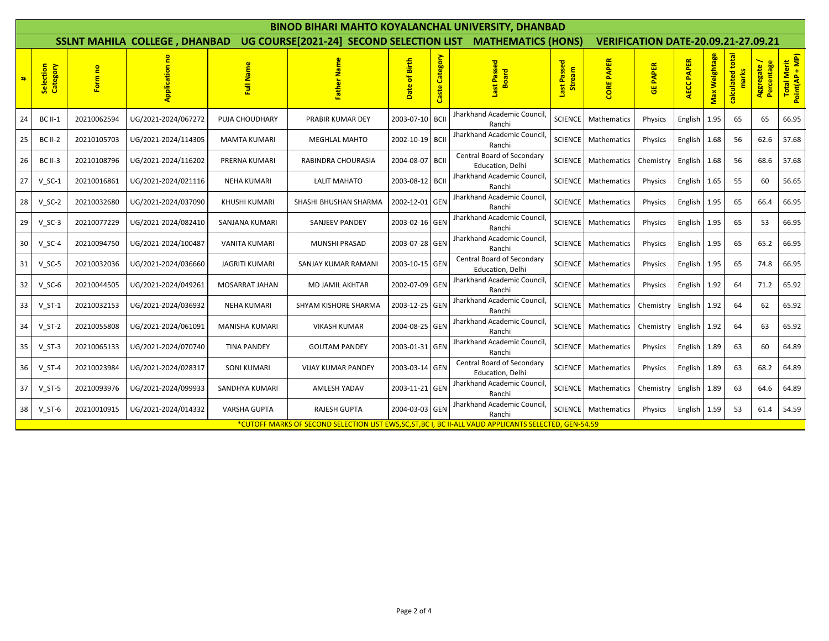| <b>BINOD BIHARI MAHTO KOYALANCHAL UNIVERSITY, DHANBAD</b> |                       |             |                                      |                                                                                                       |                                                             |                           |                   |                                                |                       |                                            |                 |                             |               |                       |                           |                               |
|-----------------------------------------------------------|-----------------------|-------------|--------------------------------------|-------------------------------------------------------------------------------------------------------|-------------------------------------------------------------|---------------------------|-------------------|------------------------------------------------|-----------------------|--------------------------------------------|-----------------|-----------------------------|---------------|-----------------------|---------------------------|-------------------------------|
|                                                           |                       |             | <b>SSLNT MAHILA COLLEGE, DHANBAD</b> |                                                                                                       | UG COURSE[2021-24] SECOND SELECTION LIST MATHEMATICS (HONS) |                           |                   |                                                |                       | <b>VERIFICATION DATE-20.09.21-27.09.21</b> |                 |                             |               |                       |                           |                               |
| #                                                         | Selection<br>Category | Form no     | å<br>Application                     | Full Name                                                                                             | Name<br>à<br>Fath                                           | <b>Birth</b><br>ቴ<br>Date | Category<br>Caste | Last Passed<br>Board                           | Last Passed<br>Stream | <b>CORE PAPER</b>                          | <b>GE PAPER</b> | <b>PAPER</b><br><b>AECC</b> | Max Weightage | total<br>calculated t | Aggregate /<br>Percentage | Total Merit<br>Point(AP + MP) |
| 24                                                        | <b>BC II-1</b>        | 20210062594 | UG/2021-2024/067272                  | PUJA CHOUDHARY                                                                                        | PRABIR KUMAR DEY                                            | 2003-07-10                | <b>BCII</b>       | Jharkhand Academic Council<br>Ranchi           | <b>SCIENCE</b>        | Mathematics                                | Physics         | English                     | 1.95          | 65                    | 65                        | 66.95                         |
| 25                                                        | <b>BC II-2</b>        | 20210105703 | UG/2021-2024/114305                  | <b>MAMTA KUMARI</b>                                                                                   | <b>MEGHLAL MAHTO</b>                                        | 2002-10-19 BCII           |                   | Jharkhand Academic Council<br>Ranchi           | <b>SCIENCE</b>        | Mathematics                                | Physics         | English                     | 1.68          | 56                    | 62.6                      | 57.68                         |
| 26                                                        | <b>BC II-3</b>        | 20210108796 | UG/2021-2024/116202                  | PRERNA KUMARI                                                                                         | RABINDRA CHOURASIA                                          | 2004-08-07 BCII           |                   | Central Board of Secondary<br>Education, Delhi | <b>SCIENCE</b>        | Mathematics                                | Chemistry       | English                     | 1.68          | 56                    | 68.6                      | 57.68                         |
| 27                                                        | $V$ SC-1              | 20210016861 | UG/2021-2024/021116                  | <b>NEHA KUMARI</b>                                                                                    | <b>LALIT MAHATO</b>                                         | 2003-08-12 BCII           |                   | Jharkhand Academic Council<br>Ranchi           | <b>SCIENCE</b>        | Mathematics                                | Physics         | English                     | 1.65          | 55                    | 60                        | 56.65                         |
| 28                                                        | $V_SC-2$              | 20210032680 | UG/2021-2024/037090                  | KHUSHI KUMARI                                                                                         | SHASHI BHUSHAN SHARMA                                       | 2002-12-01 GEN            |                   | Jharkhand Academic Council<br>Ranchi           | SCIENCE               | Mathematics                                | Physics         | English                     | 1.95          | 65                    | 66.4                      | 66.95                         |
| 29                                                        | $V_SC-3$              | 20210077229 | UG/2021-2024/082410                  | SANJANA KUMARI                                                                                        | <b>SANJEEV PANDEY</b>                                       | 2003-02-16 GEN            |                   | Jharkhand Academic Council<br>Ranchi           | <b>SCIENCE</b>        | Mathematics                                | Physics         | English                     | 1.95          | 65                    | 53                        | 66.95                         |
| 30                                                        | $V_SC-4$              | 20210094750 | UG/2021-2024/100487                  | VANITA KUMARI                                                                                         | MUNSHI PRASAD                                               | 2003-07-28 GEN            |                   | Jharkhand Academic Council<br>Ranchi           | <b>SCIENCE</b>        | Mathematics                                | Physics         | English                     | 1.95          | 65                    | 65.2                      | 66.95                         |
| 31                                                        | $V_S$ C-5             | 20210032036 | UG/2021-2024/036660                  | <b>JAGRITI KUMARI</b>                                                                                 | SANJAY KUMAR RAMANI                                         | 2003-10-15 GEN            |                   | Central Board of Secondary<br>Education, Delhi | <b>SCIENCE</b>        | Mathematics                                | Physics         | English                     | 1.95          | 65                    | 74.8                      | 66.95                         |
| 32                                                        | $V_SC-6$              | 20210044505 | UG/2021-2024/049261                  | <b>MOSARRAT JAHAN</b>                                                                                 | <b>MD JAMIL AKHTAR</b>                                      | 2002-07-09 GEN            |                   | Jharkhand Academic Council<br>Ranchi           | <b>SCIENCE</b>        | Mathematics                                | Physics         | English                     | 1.92          | 64                    | 71.2                      | 65.92                         |
| 33                                                        | $V ST-1$              | 20210032153 | UG/2021-2024/036932                  | <b>NEHA KUMARI</b>                                                                                    | SHYAM KISHORE SHARMA                                        | 2003-12-25 GEN            |                   | Jharkhand Academic Council<br>Ranchi           | <b>SCIENCE</b>        | Mathematics                                | Chemistry       | English                     | 1.92          | 64                    | 62                        | 65.92                         |
| 34                                                        | $V_S$ T-2             | 20210055808 | UG/2021-2024/061091                  | MANISHA KUMARI                                                                                        | <b>VIKASH KUMAR</b>                                         | 2004-08-25 GEN            |                   | Jharkhand Academic Council<br>Ranchi           | <b>SCIENCE</b>        | Mathematics                                | Chemistry       | English                     | 1.92          | 64                    | 63                        | 65.92                         |
| 35                                                        | $V ST-3$              | 20210065133 | UG/2021-2024/070740                  | <b>TINA PANDEY</b>                                                                                    | <b>GOUTAM PANDEY</b>                                        | 2003-01-31 GEN            |                   | Jharkhand Academic Council<br>Ranchi           | <b>SCIENCE</b>        | Mathematics                                | Physics         | English                     | 1.89          | 63                    | 60                        | 64.89                         |
| 36                                                        | $V_S$ T-4             | 20210023984 | UG/2021-2024/028317                  | <b>SONI KUMARI</b>                                                                                    | <b>VIJAY KUMAR PANDEY</b>                                   | 2003-03-14 GEN            |                   | Central Board of Secondary<br>Education, Delhi | <b>SCIENCE</b>        | Mathematics                                | Physics         | English                     | 1.89          | 63                    | 68.2                      | 64.89                         |
| 37                                                        | $V_S$ T-5             | 20210093976 | UG/2021-2024/099933                  | SANDHYA KUMARI                                                                                        | AMLESH YADAV                                                | 2003-11-21 GEN            |                   | Jharkhand Academic Council<br>Ranchi           | SCIENCE               | Mathematics                                | Chemistry       | English                     | 1.89          | 63                    | 64.6                      | 64.89                         |
| 38                                                        | $V ST-6$              | 20210010915 | UG/2021-2024/014332                  | <b>VARSHA GUPTA</b>                                                                                   | <b>RAJESH GUPTA</b>                                         | 2004-03-03 GEN            |                   | Jharkhand Academic Council<br>Ranchi           |                       | <b>SCIENCE</b> Mathematics                 | Physics         | English                     | 1.59          | 53                    | 61.4                      | 54.59                         |
|                                                           |                       |             |                                      | *CUTOFF MARKS OF SECOND SELECTION LIST EWS.SC.ST.BC I. BC II-ALL VALID APPLICANTS SELECTED. GEN-54.59 |                                                             |                           |                   |                                                |                       |                                            |                 |                             |               |                       |                           |                               |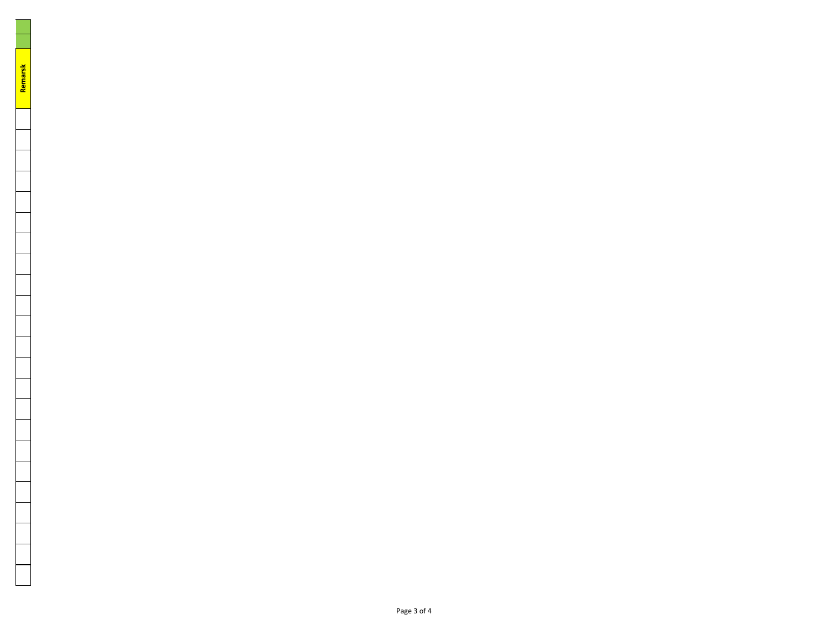Page 3 of 4